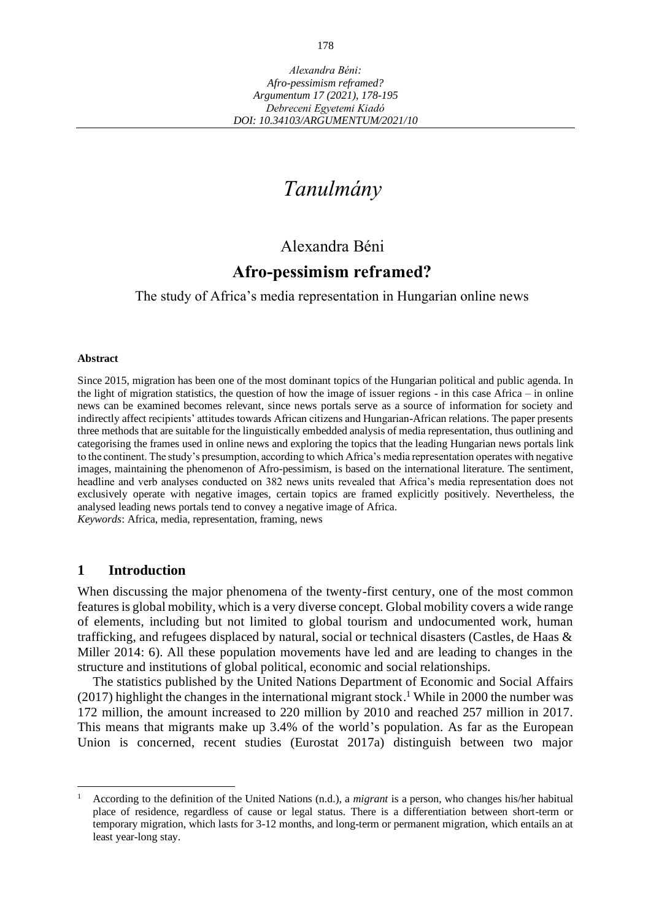# *Tanulmány*

# Alexandra Béni

# **Afro-pessimism reframed?**

The study of Africa's media representation in Hungarian online news

#### **Abstract**

Since 2015, migration has been one of the most dominant topics of the Hungarian political and public agenda. In the light of migration statistics, the question of how the image of issuer regions - in this case Africa – in online news can be examined becomes relevant, since news portals serve as a source of information for society and indirectly affect recipients' attitudes towards African citizens and Hungarian-African relations. The paper presents three methods that are suitable for the linguistically embedded analysis of media representation, thus outlining and categorising the frames used in online news and exploring the topics that the leading Hungarian news portals link to the continent. The study's presumption, according to which Africa's media representation operates with negative images, maintaining the phenomenon of Afro-pessimism, is based on the international literature. The sentiment, headline and verb analyses conducted on 382 news units revealed that Africa's media representation does not exclusively operate with negative images, certain topics are framed explicitly positively. Nevertheless, the analysed leading news portals tend to convey a negative image of Africa. *Keywords*: Africa, media, representation, framing, news

# **1 Introduction**

When discussing the major phenomena of the twenty-first century, one of the most common features is global mobility, which is a very diverse concept. Global mobility covers a wide range of elements, including but not limited to global tourism and undocumented work, human trafficking, and refugees displaced by natural, social or technical disasters (Castles, de Haas & Miller 2014: 6). All these population movements have led and are leading to changes in the structure and institutions of global political, economic and social relationships.

The statistics published by the United Nations Department of Economic and Social Affairs  $(2017)$  highlight the changes in the international migrant stock.<sup>1</sup> While in 2000 the number was 172 million, the amount increased to 220 million by 2010 and reached 257 million in 2017. This means that migrants make up 3.4% of the world's population. As far as the European Union is concerned, recent studies (Eurostat 2017a) distinguish between two major

<sup>1</sup> According to the definition of the United Nations (n.d.), a *migrant* is a person, who changes his/her habitual place of residence, regardless of cause or legal status. There is a differentiation between short-term or temporary migration, which lasts for 3-12 months, and long-term or permanent migration, which entails an at least year-long stay.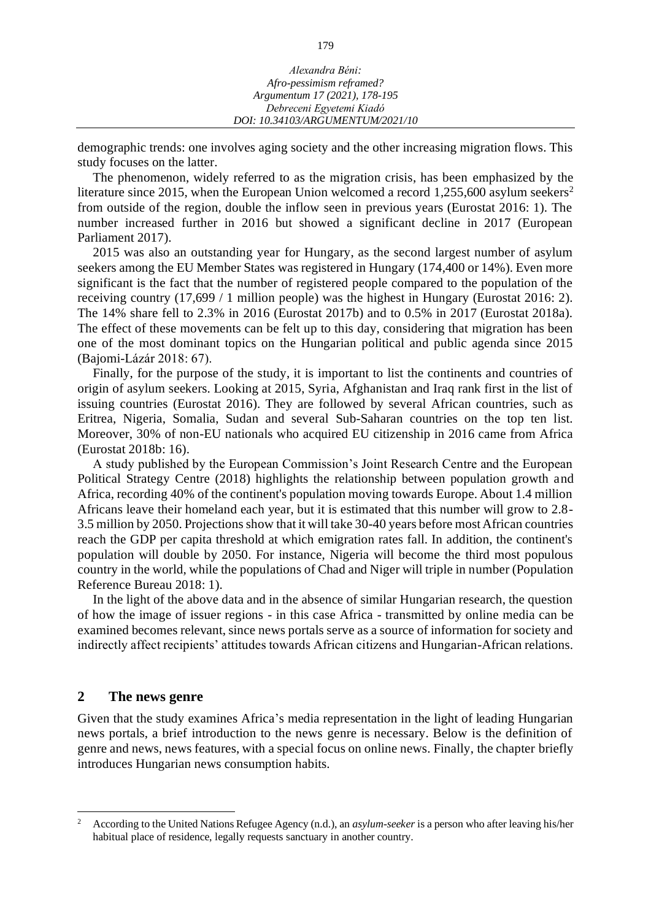| Alexandra Béni:                  |  |
|----------------------------------|--|
| Afro-pessimism reframed?         |  |
| Argumentum 17 (2021), 178-195    |  |
| Debreceni Egyetemi Kiadó         |  |
| DOI: 10.34103/ARGUMENTUM/2021/10 |  |
|                                  |  |

demographic trends: one involves aging society and the other increasing migration flows. This study focuses on the latter.

The phenomenon, widely referred to as the migration crisis, has been emphasized by the literature since 2015, when the European Union welcomed a record 1,255,600 asylum seekers<sup>2</sup> from outside of the region, double the inflow seen in previous years (Eurostat 2016: 1). The number increased further in 2016 but showed a significant decline in 2017 (European Parliament 2017).

2015 was also an outstanding year for Hungary, as the second largest number of asylum seekers among the EU Member States was registered in Hungary (174,400 or 14%). Even more significant is the fact that the number of registered people compared to the population of the receiving country (17,699 / 1 million people) was the highest in Hungary (Eurostat 2016: 2). The 14% share fell to 2.3% in 2016 (Eurostat 2017b) and to 0.5% in 2017 (Eurostat 2018a). The effect of these movements can be felt up to this day, considering that migration has been one of the most dominant topics on the Hungarian political and public agenda since 2015 (Bajomi-Lázár 2018: 67).

Finally, for the purpose of the study, it is important to list the continents and countries of origin of asylum seekers. Looking at 2015, Syria, Afghanistan and Iraq rank first in the list of issuing countries (Eurostat 2016). They are followed by several African countries, such as Eritrea, Nigeria, Somalia, Sudan and several Sub-Saharan countries on the top ten list. Moreover, 30% of non-EU nationals who acquired EU citizenship in 2016 came from Africa (Eurostat 2018b: 16).

A study published by the European Commission's Joint Research Centre and the European Political Strategy Centre (2018) highlights the relationship between population growth and Africa, recording 40% of the continent's population moving towards Europe. About 1.4 million Africans leave their homeland each year, but it is estimated that this number will grow to 2.8- 3.5 million by 2050. Projections show that it will take 30-40 years before most African countries reach the GDP per capita threshold at which emigration rates fall. In addition, the continent's population will double by 2050. For instance, Nigeria will become the third most populous country in the world, while the populations of Chad and Niger will triple in number (Population Reference Bureau 2018: 1).

In the light of the above data and in the absence of similar Hungarian research, the question of how the image of issuer regions - in this case Africa - transmitted by online media can be examined becomes relevant, since news portals serve as a source of information for society and indirectly affect recipients' attitudes towards African citizens and Hungarian-African relations.

#### **2 The news genre**

Given that the study examines Africa's media representation in the light of leading Hungarian news portals, a brief introduction to the news genre is necessary. Below is the definition of genre and news, news features, with a special focus on online news. Finally, the chapter briefly introduces Hungarian news consumption habits.

<sup>2</sup> According to the United Nations Refugee Agency (n.d.), an *asylum-seeker* is a person who after leaving his/her habitual place of residence, legally requests sanctuary in another country.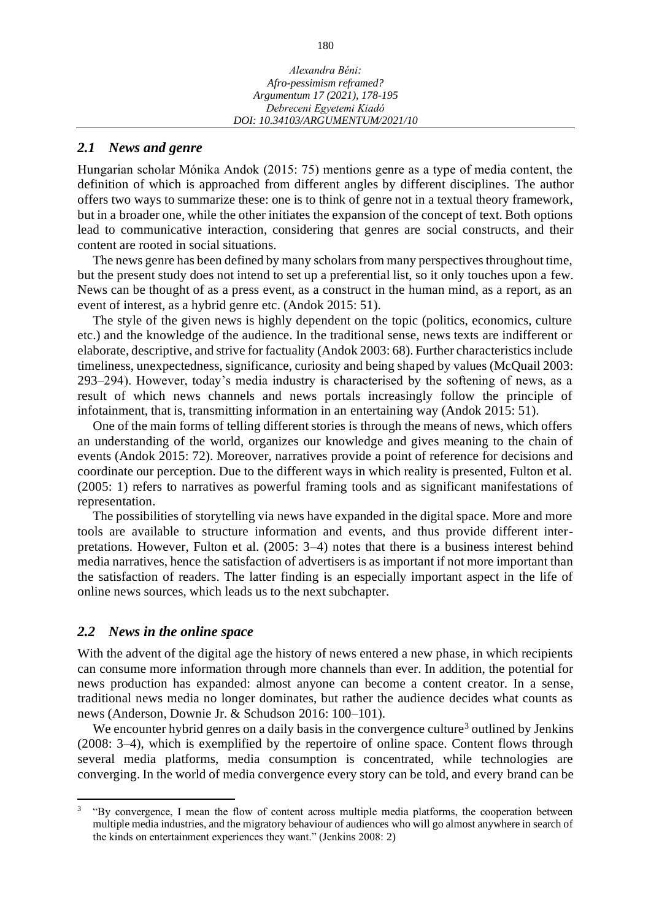### *2.1 News and genre*

Hungarian scholar Mónika Andok (2015: 75) mentions genre as a type of media content, the definition of which is approached from different angles by different disciplines. The author offers two ways to summarize these: one is to think of genre not in a textual theory framework, but in a broader one, while the other initiates the expansion of the concept of text. Both options lead to communicative interaction, considering that genres are social constructs, and their content are rooted in social situations.

The news genre has been defined by many scholars from many perspectives throughout time, but the present study does not intend to set up a preferential list, so it only touches upon a few. News can be thought of as a press event, as a construct in the human mind, as a report, as an event of interest, as a hybrid genre etc. (Andok 2015: 51).

The style of the given news is highly dependent on the topic (politics, economics, culture etc.) and the knowledge of the audience. In the traditional sense, news texts are indifferent or elaborate, descriptive, and strive for factuality (Andok 2003: 68). Further characteristics include timeliness, unexpectedness, significance, curiosity and being shaped by values (McQuail 2003: 293–294). However, today's media industry is characterised by the softening of news, as a result of which news channels and news portals increasingly follow the principle of infotainment, that is, transmitting information in an entertaining way (Andok 2015: 51).

One of the main forms of telling different stories is through the means of news, which offers an understanding of the world, organizes our knowledge and gives meaning to the chain of events (Andok 2015: 72). Moreover, narratives provide a point of reference for decisions and coordinate our perception. Due to the different ways in which reality is presented, Fulton et al. (2005: 1) refers to narratives as powerful framing tools and as significant manifestations of representation.

The possibilities of storytelling via news have expanded in the digital space. More and more tools are available to structure information and events, and thus provide different interpretations. However, Fulton et al. (2005: 3–4) notes that there is a business interest behind media narratives, hence the satisfaction of advertisers is as important if not more important than the satisfaction of readers. The latter finding is an especially important aspect in the life of online news sources, which leads us to the next subchapter.

#### *2.2 News in the online space*

With the advent of the digital age the history of news entered a new phase, in which recipients can consume more information through more channels than ever. In addition, the potential for news production has expanded: almost anyone can become a content creator. In a sense, traditional news media no longer dominates, but rather the audience decides what counts as news (Anderson, Downie Jr. & Schudson 2016: 100–101).

We encounter hybrid genres on a daily basis in the convergence culture<sup>3</sup> outlined by Jenkins (2008: 3–4), which is exemplified by the repertoire of online space. Content flows through several media platforms, media consumption is concentrated, while technologies are converging. In the world of media convergence every story can be told, and every brand can be

<sup>3</sup> "By convergence, I mean the flow of content across multiple media platforms, the cooperation between multiple media industries, and the migratory behaviour of audiences who will go almost anywhere in search of the kinds on entertainment experiences they want." (Jenkins 2008: 2)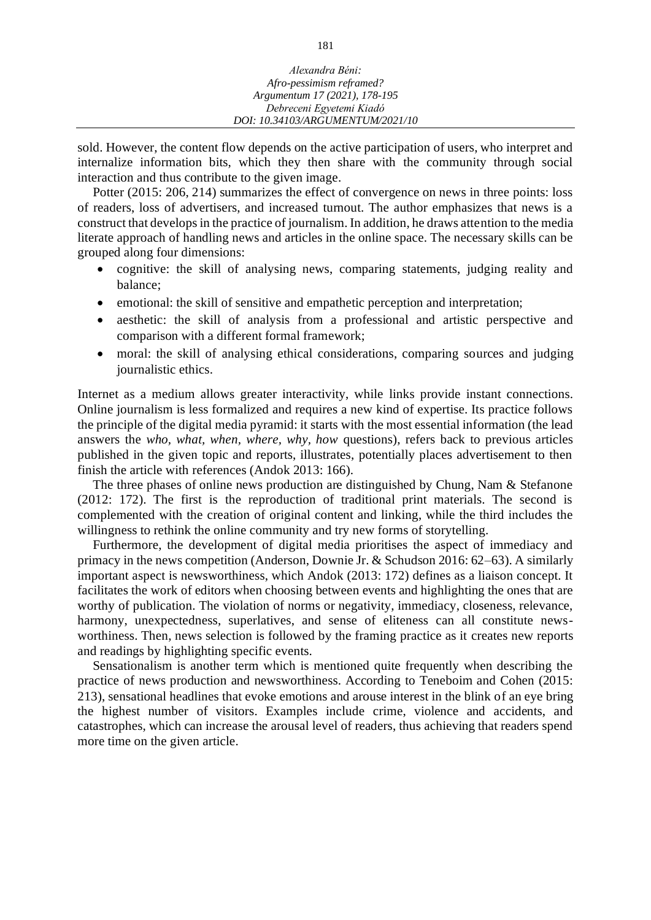| Alexandra Béni:                  |
|----------------------------------|
|                                  |
| Afro-pessimism reframed?         |
| Argumentum 17 (2021), 178-195    |
| Debreceni Egyetemi Kiadó         |
| DOI: 10.34103/ARGUMENTUM/2021/10 |

sold. However, the content flow depends on the active participation of users, who interpret and internalize information bits, which they then share with the community through social interaction and thus contribute to the given image.

Potter (2015: 206, 214) summarizes the effect of convergence on news in three points: loss of readers, loss of advertisers, and increased turnout. The author emphasizes that news is a construct that develops in the practice of journalism. In addition, he draws attention to the media literate approach of handling news and articles in the online space. The necessary skills can be grouped along four dimensions:

- cognitive: the skill of analysing news, comparing statements, judging reality and balance;
- emotional: the skill of sensitive and empathetic perception and interpretation;
- aesthetic: the skill of analysis from a professional and artistic perspective and comparison with a different formal framework;
- moral: the skill of analysing ethical considerations, comparing sources and judging journalistic ethics.

Internet as a medium allows greater interactivity, while links provide instant connections. Online journalism is less formalized and requires a new kind of expertise. Its practice follows the principle of the digital media pyramid: it starts with the most essential information (the lead answers the *who, what, when, where, why, how* questions), refers back to previous articles published in the given topic and reports, illustrates, potentially places advertisement to then finish the article with references (Andok 2013: 166).

The three phases of online news production are distinguished by Chung, Nam & Stefanone (2012: 172). The first is the reproduction of traditional print materials. The second is complemented with the creation of original content and linking, while the third includes the willingness to rethink the online community and try new forms of storytelling.

Furthermore, the development of digital media prioritises the aspect of immediacy and primacy in the news competition (Anderson, Downie Jr. & Schudson 2016: 62–63). A similarly important aspect is newsworthiness, which Andok (2013: 172) defines as a liaison concept. It facilitates the work of editors when choosing between events and highlighting the ones that are worthy of publication. The violation of norms or negativity, immediacy, closeness, relevance, harmony, unexpectedness, superlatives, and sense of eliteness can all constitute newsworthiness. Then, news selection is followed by the framing practice as it creates new reports and readings by highlighting specific events.

Sensationalism is another term which is mentioned quite frequently when describing the practice of news production and newsworthiness. According to Teneboim and Cohen (2015: 213), sensational headlines that evoke emotions and arouse interest in the blink of an eye bring the highest number of visitors. Examples include crime, violence and accidents, and catastrophes, which can increase the arousal level of readers, thus achieving that readers spend more time on the given article.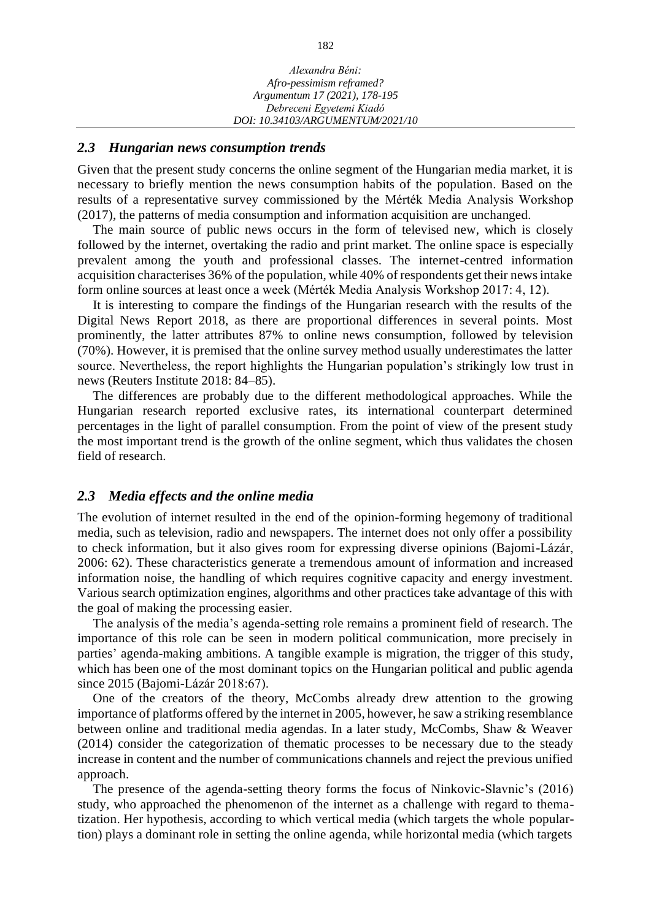#### *2.3 Hungarian news consumption trends*

Given that the present study concerns the online segment of the Hungarian media market, it is necessary to briefly mention the news consumption habits of the population. Based on the results of a representative survey commissioned by the Mérték Media Analysis Workshop (2017), the patterns of media consumption and information acquisition are unchanged.

The main source of public news occurs in the form of televised new, which is closely followed by the internet, overtaking the radio and print market. The online space is especially prevalent among the youth and professional classes. The internet-centred information acquisition characterises 36% of the population, while 40% of respondents get their news intake form online sources at least once a week (Mérték Media Analysis Workshop 2017: 4, 12).

It is interesting to compare the findings of the Hungarian research with the results of the Digital News Report 2018, as there are proportional differences in several points. Most prominently, the latter attributes 87% to online news consumption, followed by television (70%). However, it is premised that the online survey method usually underestimates the latter source. Nevertheless, the report highlights the Hungarian population's strikingly low trust in news (Reuters Institute 2018: 84–85).

The differences are probably due to the different methodological approaches. While the Hungarian research reported exclusive rates, its international counterpart determined percentages in the light of parallel consumption. From the point of view of the present study the most important trend is the growth of the online segment, which thus validates the chosen field of research.

#### *2.3 Media effects and the online media*

The evolution of internet resulted in the end of the opinion-forming hegemony of traditional media, such as television, radio and newspapers. The internet does not only offer a possibility to check information, but it also gives room for expressing diverse opinions (Bajomi-Lázár, 2006: 62). These characteristics generate a tremendous amount of information and increased information noise, the handling of which requires cognitive capacity and energy investment. Various search optimization engines, algorithms and other practices take advantage of this with the goal of making the processing easier.

The analysis of the media's agenda-setting role remains a prominent field of research. The importance of this role can be seen in modern political communication, more precisely in parties' agenda-making ambitions. A tangible example is migration, the trigger of this study, which has been one of the most dominant topics on the Hungarian political and public agenda since 2015 (Bajomi-Lázár 2018:67).

One of the creators of the theory, McCombs already drew attention to the growing importance of platforms offered by the internet in 2005, however, he saw a striking resemblance between online and traditional media agendas. In a later study, McCombs, Shaw & Weaver (2014) consider the categorization of thematic processes to be necessary due to the steady increase in content and the number of communications channels and reject the previous unified approach.

The presence of the agenda-setting theory forms the focus of Ninkovic-Slavnic's (2016) study, who approached the phenomenon of the internet as a challenge with regard to thematization. Her hypothesis, according to which vertical media (which targets the whole populartion) plays a dominant role in setting the online agenda, while horizontal media (which targets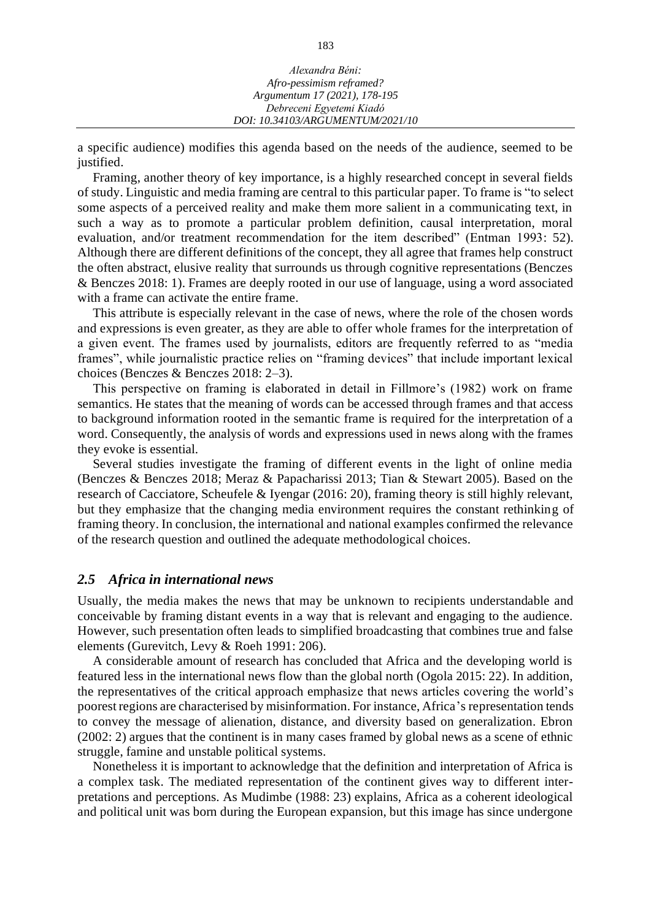| Alexandra Béni:                  |
|----------------------------------|
| Afro-pessimism reframed?         |
| Argumentum 17 (2021), 178-195    |
| Debreceni Egyetemi Kiadó         |
| DOI: 10.34103/ARGUMENTUM/2021/10 |

a specific audience) modifies this agenda based on the needs of the audience, seemed to be justified.

Framing, another theory of key importance, is a highly researched concept in several fields of study. Linguistic and media framing are central to this particular paper. To frame is "to select some aspects of a perceived reality and make them more salient in a communicating text, in such a way as to promote a particular problem definition, causal interpretation, moral evaluation, and/or treatment recommendation for the item described" (Entman 1993: 52). Although there are different definitions of the concept, they all agree that frames help construct the often abstract, elusive reality that surrounds us through cognitive representations (Benczes & Benczes 2018: 1). Frames are deeply rooted in our use of language, using a word associated with a frame can activate the entire frame.

This attribute is especially relevant in the case of news, where the role of the chosen words and expressions is even greater, as they are able to offer whole frames for the interpretation of a given event. The frames used by journalists, editors are frequently referred to as "media frames", while journalistic practice relies on "framing devices" that include important lexical choices (Benczes & Benczes 2018: 2–3).

This perspective on framing is elaborated in detail in Fillmore's (1982) work on frame semantics. He states that the meaning of words can be accessed through frames and that access to background information rooted in the semantic frame is required for the interpretation of a word. Consequently, the analysis of words and expressions used in news along with the frames they evoke is essential.

Several studies investigate the framing of different events in the light of online media (Benczes & Benczes 2018; Meraz & Papacharissi 2013; Tian & Stewart 2005). Based on the research of Cacciatore, Scheufele & Iyengar (2016: 20), framing theory is still highly relevant, but they emphasize that the changing media environment requires the constant rethinking of framing theory. In conclusion, the international and national examples confirmed the relevance of the research question and outlined the adequate methodological choices.

#### *2.5 Africa in international news*

Usually, the media makes the news that may be unknown to recipients understandable and conceivable by framing distant events in a way that is relevant and engaging to the audience. However, such presentation often leads to simplified broadcasting that combines true and false elements (Gurevitch, Levy & Roeh 1991: 206).

A considerable amount of research has concluded that Africa and the developing world is featured less in the international news flow than the global north (Ogola 2015: 22). In addition, the representatives of the critical approach emphasize that news articles covering the world's poorest regions are characterised by misinformation. For instance, Africa's representation tends to convey the message of alienation, distance, and diversity based on generalization. Ebron (2002: 2) argues that the continent is in many cases framed by global news as a scene of ethnic struggle, famine and unstable political systems.

Nonetheless it is important to acknowledge that the definition and interpretation of Africa is a complex task. The mediated representation of the continent gives way to different interpretations and perceptions. As Mudimbe (1988: 23) explains, Africa as a coherent ideological and political unit was born during the European expansion, but this image has since undergone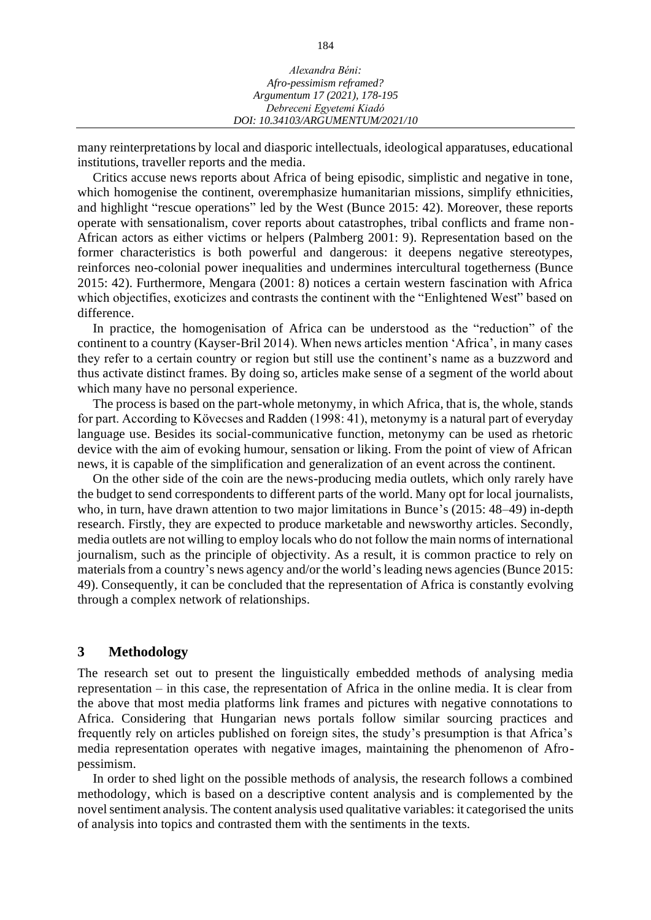| Alexandra Béni:                  |  |
|----------------------------------|--|
| Afro-pessimism reframed?         |  |
| Argumentum 17 (2021), 178-195    |  |
| Debreceni Egyetemi Kiadó         |  |
| DOI: 10.34103/ARGUMENTUM/2021/10 |  |
|                                  |  |

many reinterpretations by local and diasporic intellectuals, ideological apparatuses, educational institutions, traveller reports and the media.

Critics accuse news reports about Africa of being episodic, simplistic and negative in tone, which homogenise the continent, overemphasize humanitarian missions, simplify ethnicities, and highlight "rescue operations" led by the West (Bunce 2015: 42). Moreover, these reports operate with sensationalism, cover reports about catastrophes, tribal conflicts and frame non-African actors as either victims or helpers (Palmberg 2001: 9). Representation based on the former characteristics is both powerful and dangerous: it deepens negative stereotypes, reinforces neo-colonial power inequalities and undermines intercultural togetherness (Bunce 2015: 42). Furthermore, Mengara (2001: 8) notices a certain western fascination with Africa which objectifies, exoticizes and contrasts the continent with the "Enlightened West" based on difference.

In practice, the homogenisation of Africa can be understood as the "reduction" of the continent to a country (Kayser-Bril 2014). When news articles mention 'Africa', in many cases they refer to a certain country or region but still use the continent's name as a buzzword and thus activate distinct frames. By doing so, articles make sense of a segment of the world about which many have no personal experience.

The process is based on the part-whole metonymy, in which Africa, that is, the whole, stands for part. According to Kövecses and Radden (1998: 41), metonymy is a natural part of everyday language use. Besides its social-communicative function, metonymy can be used as rhetoric device with the aim of evoking humour, sensation or liking. From the point of view of African news, it is capable of the simplification and generalization of an event across the continent.

On the other side of the coin are the news-producing media outlets, which only rarely have the budget to send correspondents to different parts of the world. Many opt for local journalists, who, in turn, have drawn attention to two major limitations in Bunce's (2015: 48–49) in-depth research. Firstly, they are expected to produce marketable and newsworthy articles. Secondly, media outlets are not willing to employ locals who do not follow the main norms of international journalism, such as the principle of objectivity. As a result, it is common practice to rely on materials from a country's news agency and/or the world's leading news agencies (Bunce 2015: 49). Consequently, it can be concluded that the representation of Africa is constantly evolving through a complex network of relationships.

# **3 Methodology**

The research set out to present the linguistically embedded methods of analysing media representation – in this case, the representation of Africa in the online media. It is clear from the above that most media platforms link frames and pictures with negative connotations to Africa. Considering that Hungarian news portals follow similar sourcing practices and frequently rely on articles published on foreign sites, the study's presumption is that Africa's media representation operates with negative images, maintaining the phenomenon of Afropessimism.

In order to shed light on the possible methods of analysis, the research follows a combined methodology, which is based on a descriptive content analysis and is complemented by the novel sentiment analysis. The content analysis used qualitative variables: it categorised the units of analysis into topics and contrasted them with the sentiments in the texts.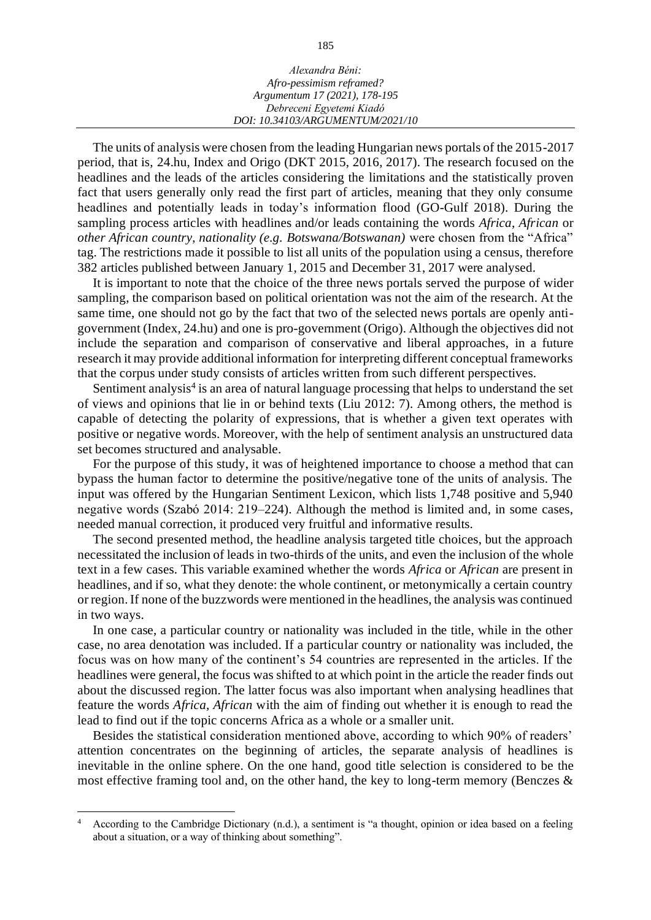| Alexandra Béni:                  |  |
|----------------------------------|--|
| Afro-pessimism reframed?         |  |
| Argumentum 17 (2021), 178-195    |  |
| Debreceni Egyetemi Kiadó         |  |
| DOI: 10.34103/ARGUMENTUM/2021/10 |  |

The units of analysis were chosen from the leading Hungarian news portals of the 2015-2017 period, that is, 24.hu, Index and Origo (DKT 2015, 2016, 2017). The research focused on the headlines and the leads of the articles considering the limitations and the statistically proven fact that users generally only read the first part of articles, meaning that they only consume headlines and potentially leads in today's information flood (GO-Gulf 2018). During the sampling process articles with headlines and/or leads containing the words *Africa*, *African* or *other African country, nationality (e.g. Botswana/Botswanan)* were chosen from the "Africa" tag. The restrictions made it possible to list all units of the population using a census, therefore 382 articles published between January 1, 2015 and December 31, 2017 were analysed.

It is important to note that the choice of the three news portals served the purpose of wider sampling, the comparison based on political orientation was not the aim of the research. At the same time, one should not go by the fact that two of the selected news portals are openly antigovernment (Index, 24.hu) and one is pro-government (Origo). Although the objectives did not include the separation and comparison of conservative and liberal approaches, in a future research it may provide additional information for interpreting different conceptual frameworks that the corpus under study consists of articles written from such different perspectives.

Sentiment analysis<sup>4</sup> is an area of natural language processing that helps to understand the set of views and opinions that lie in or behind texts (Liu 2012: 7). Among others, the method is capable of detecting the polarity of expressions, that is whether a given text operates with positive or negative words. Moreover, with the help of sentiment analysis an unstructured data set becomes structured and analysable.

For the purpose of this study, it was of heightened importance to choose a method that can bypass the human factor to determine the positive/negative tone of the units of analysis. The input was offered by the Hungarian Sentiment Lexicon, which lists 1,748 positive and 5,940 negative words (Szabó 2014: 219–224). Although the method is limited and, in some cases, needed manual correction, it produced very fruitful and informative results.

The second presented method, the headline analysis targeted title choices, but the approach necessitated the inclusion of leads in two-thirds of the units, and even the inclusion of the whole text in a few cases. This variable examined whether the words *Africa* or *African* are present in headlines, and if so, what they denote: the whole continent, or metonymically a certain country or region. If none of the buzzwords were mentioned in the headlines, the analysis was continued in two ways.

In one case, a particular country or nationality was included in the title, while in the other case, no area denotation was included. If a particular country or nationality was included, the focus was on how many of the continent's 54 countries are represented in the articles. If the headlines were general, the focus was shifted to at which point in the article the reader finds out about the discussed region. The latter focus was also important when analysing headlines that feature the words *Africa, African* with the aim of finding out whether it is enough to read the lead to find out if the topic concerns Africa as a whole or a smaller unit.

Besides the statistical consideration mentioned above, according to which 90% of readers' attention concentrates on the beginning of articles, the separate analysis of headlines is inevitable in the online sphere. On the one hand, good title selection is considered to be the most effective framing tool and, on the other hand, the key to long-term memory (Benczes &

<sup>4</sup> According to the Cambridge Dictionary (n.d.), a sentiment is "a thought, opinion or idea based on a feeling about a situation, or a way of thinking about something".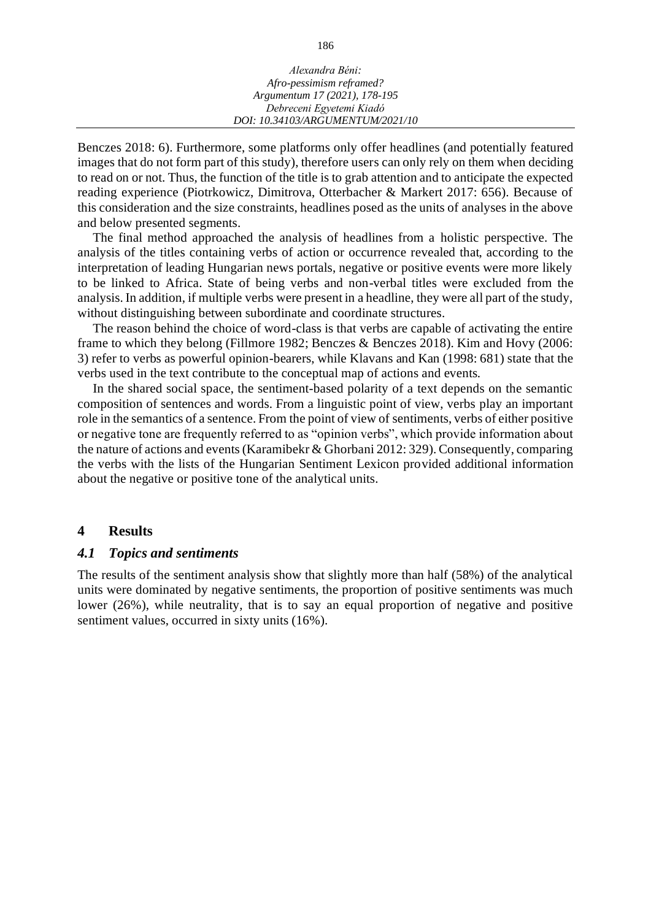| Alexandra Béni:                  |  |
|----------------------------------|--|
| Afro-pessimism reframed?         |  |
| Argumentum 17 (2021), 178-195    |  |
| Debreceni Egyetemi Kiadó         |  |
| DOI: 10.34103/ARGUMENTUM/2021/10 |  |

Benczes 2018: 6). Furthermore, some platforms only offer headlines (and potentially featured images that do not form part of this study), therefore users can only rely on them when deciding to read on or not. Thus, the function of the title is to grab attention and to anticipate the expected reading experience (Piotrkowicz, Dimitrova, Otterbacher & Markert 2017: 656). Because of this consideration and the size constraints, headlines posed as the units of analyses in the above and below presented segments.

The final method approached the analysis of headlines from a holistic perspective. The analysis of the titles containing verbs of action or occurrence revealed that, according to the interpretation of leading Hungarian news portals, negative or positive events were more likely to be linked to Africa. State of being verbs and non-verbal titles were excluded from the analysis. In addition, if multiple verbs were present in a headline, they were all part of the study, without distinguishing between subordinate and coordinate structures.

The reason behind the choice of word-class is that verbs are capable of activating the entire frame to which they belong (Fillmore 1982; Benczes & Benczes 2018). Kim and Hovy (2006: 3) refer to verbs as powerful opinion-bearers, while Klavans and Kan (1998: 681) state that the verbs used in the text contribute to the conceptual map of actions and events.

In the shared social space, the sentiment-based polarity of a text depends on the semantic composition of sentences and words. From a linguistic point of view, verbs play an important role in the semantics of a sentence. From the point of view of sentiments, verbs of either positive or negative tone are frequently referred to as "opinion verbs", which provide information about the nature of actions and events (Karamibekr & Ghorbani 2012: 329). Consequently, comparing the verbs with the lists of the Hungarian Sentiment Lexicon provided additional information about the negative or positive tone of the analytical units.

### **4 Results**

#### *4.1 Topics and sentiments*

The results of the sentiment analysis show that slightly more than half (58%) of the analytical units were dominated by negative sentiments, the proportion of positive sentiments was much lower (26%), while neutrality, that is to say an equal proportion of negative and positive sentiment values, occurred in sixty units (16%).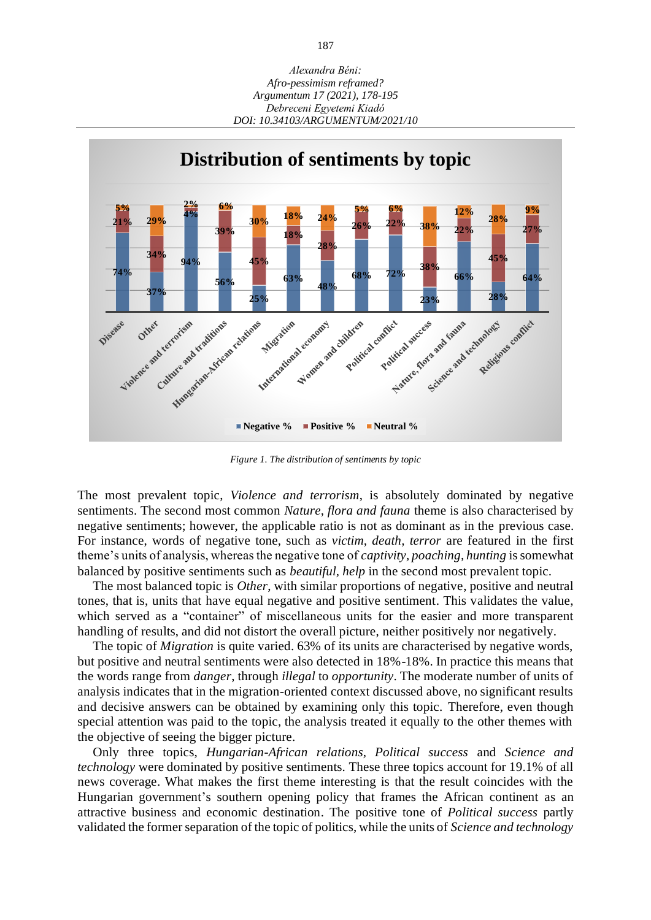

*Figure 1. The distribution of sentiments by topic*

The most prevalent topic, *Violence and terrorism*, is absolutely dominated by negative sentiments. The second most common *Nature, flora and fauna* theme is also characterised by negative sentiments; however, the applicable ratio is not as dominant as in the previous case. For instance, words of negative tone, such as *victim, death, terror* are featured in the first theme's units of analysis, whereas the negative tone of *captivity, poaching, hunting* is somewhat balanced by positive sentiments such as *beautiful, help* in the second most prevalent topic.

The most balanced topic is *Other*, with similar proportions of negative, positive and neutral tones, that is, units that have equal negative and positive sentiment. This validates the value, which served as a "container" of miscellaneous units for the easier and more transparent handling of results, and did not distort the overall picture, neither positively nor negatively.

The topic of *Migration* is quite varied. 63% of its units are characterised by negative words, but positive and neutral sentiments were also detected in 18%-18%. In practice this means that the words range from *danger*, through *illegal* to *opportunity*. The moderate number of units of analysis indicates that in the migration-oriented context discussed above, no significant results and decisive answers can be obtained by examining only this topic. Therefore, even though special attention was paid to the topic, the analysis treated it equally to the other themes with the objective of seeing the bigger picture.

Only three topics, *Hungarian-African relations, Political success* and *Science and technology* were dominated by positive sentiments. These three topics account for 19.1% of all news coverage. What makes the first theme interesting is that the result coincides with the Hungarian government's southern opening policy that frames the African continent as an attractive business and economic destination. The positive tone of *Political success* partly validated the former separation of the topic of politics, while the units of *Science and technology*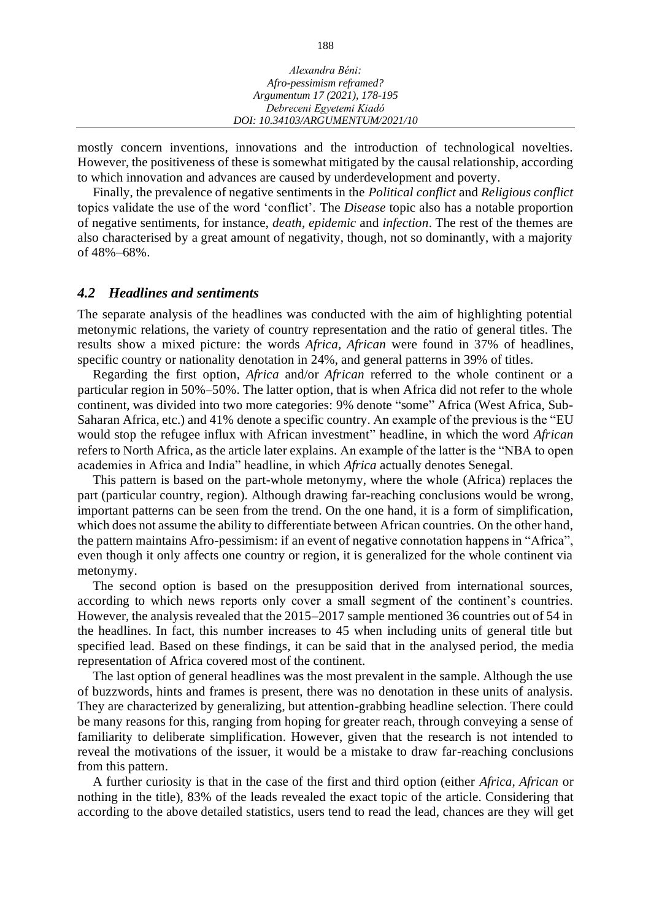| Alexandra Béni:                  |  |
|----------------------------------|--|
| Afro-pessimism reframed?         |  |
| Argumentum 17 (2021), 178-195    |  |
| Debreceni Egyetemi Kiadó         |  |
| DOI: 10.34103/ARGUMENTUM/2021/10 |  |

mostly concern inventions, innovations and the introduction of technological novelties. However, the positiveness of these is somewhat mitigated by the causal relationship, according to which innovation and advances are caused by underdevelopment and poverty.

Finally, the prevalence of negative sentiments in the *Political conflict* and *Religious conflict* topics validate the use of the word 'conflict'. The *Disease* topic also has a notable proportion of negative sentiments, for instance, *death*, *epidemic* and *infection*. The rest of the themes are also characterised by a great amount of negativity, though, not so dominantly, with a majority of 48%–68%.

# *4.2 Headlines and sentiments*

The separate analysis of the headlines was conducted with the aim of highlighting potential metonymic relations, the variety of country representation and the ratio of general titles. The results show a mixed picture: the words *Africa, African* were found in 37% of headlines, specific country or nationality denotation in 24%, and general patterns in 39% of titles.

Regarding the first option, *Africa* and/or *African* referred to the whole continent or a particular region in 50%–50%. The latter option, that is when Africa did not refer to the whole continent, was divided into two more categories: 9% denote "some" Africa (West Africa, Sub-Saharan Africa, etc.) and 41% denote a specific country. An example of the previous is the "EU would stop the refugee influx with African investment" headline, in which the word *African* refers to North Africa, as the article later explains. An example of the latter is the "NBA to open academies in Africa and India" headline, in which *Africa* actually denotes Senegal.

This pattern is based on the part-whole metonymy, where the whole (Africa) replaces the part (particular country, region). Although drawing far-reaching conclusions would be wrong, important patterns can be seen from the trend. On the one hand, it is a form of simplification, which does not assume the ability to differentiate between African countries. On the other hand, the pattern maintains Afro-pessimism: if an event of negative connotation happens in "Africa", even though it only affects one country or region, it is generalized for the whole continent via metonymy.

The second option is based on the presupposition derived from international sources, according to which news reports only cover a small segment of the continent's countries. However, the analysis revealed that the 2015–2017 sample mentioned 36 countries out of 54 in the headlines. In fact, this number increases to 45 when including units of general title but specified lead. Based on these findings, it can be said that in the analysed period, the media representation of Africa covered most of the continent.

The last option of general headlines was the most prevalent in the sample. Although the use of buzzwords, hints and frames is present, there was no denotation in these units of analysis. They are characterized by generalizing, but attention-grabbing headline selection. There could be many reasons for this, ranging from hoping for greater reach, through conveying a sense of familiarity to deliberate simplification. However, given that the research is not intended to reveal the motivations of the issuer, it would be a mistake to draw far-reaching conclusions from this pattern.

A further curiosity is that in the case of the first and third option (either *Africa, African* or nothing in the title), 83% of the leads revealed the exact topic of the article. Considering that according to the above detailed statistics, users tend to read the lead, chances are they will get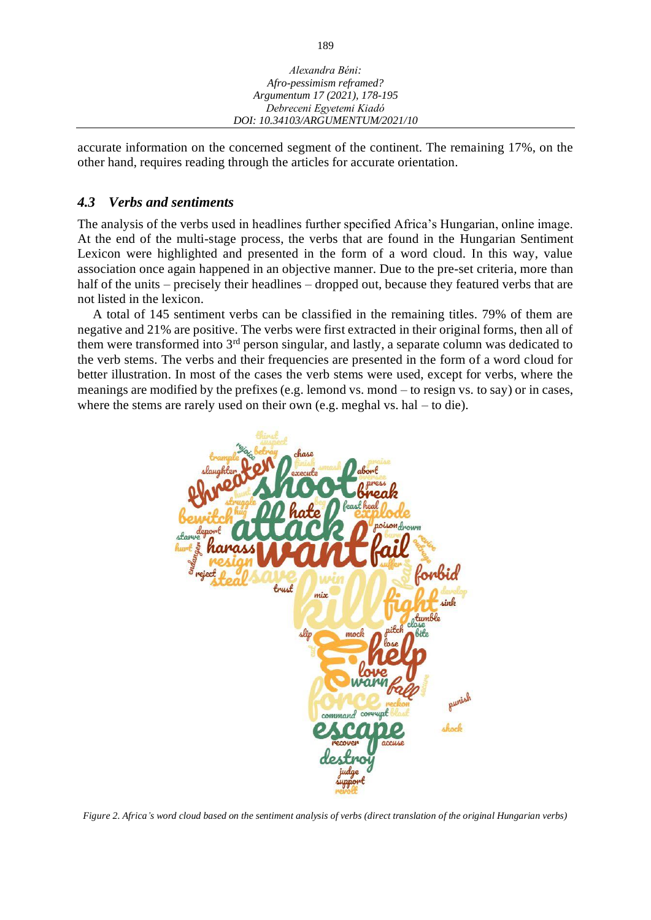| Alexandra Béni:                  |  |
|----------------------------------|--|
| Afro-pessimism reframed?         |  |
| Argumentum 17 (2021), 178-195    |  |
| Debreceni Egyetemi Kiadó         |  |
| DOI: 10.34103/ARGUMENTUM/2021/10 |  |

accurate information on the concerned segment of the continent. The remaining 17%, on the other hand, requires reading through the articles for accurate orientation.

# *4.3 Verbs and sentiments*

The analysis of the verbs used in headlines further specified Africa's Hungarian, online image. At the end of the multi-stage process, the verbs that are found in the Hungarian Sentiment Lexicon were highlighted and presented in the form of a word cloud. In this way, value association once again happened in an objective manner. Due to the pre-set criteria, more than half of the units – precisely their headlines – dropped out, because they featured verbs that are not listed in the lexicon.

A total of 145 sentiment verbs can be classified in the remaining titles. 79% of them are negative and 21% are positive. The verbs were first extracted in their original forms, then all of them were transformed into 3rd person singular, and lastly, a separate column was dedicated to the verb stems. The verbs and their frequencies are presented in the form of a word cloud for better illustration. In most of the cases the verb stems were used, except for verbs, where the meanings are modified by the prefixes (e.g. lemond vs. mond – to resign vs. to say) or in cases, where the stems are rarely used on their own (e.g. meghal vs. hal – to die).



*Figure 2. Africa's word cloud based on the sentiment analysis of verbs (direct translation of the original Hungarian verbs)*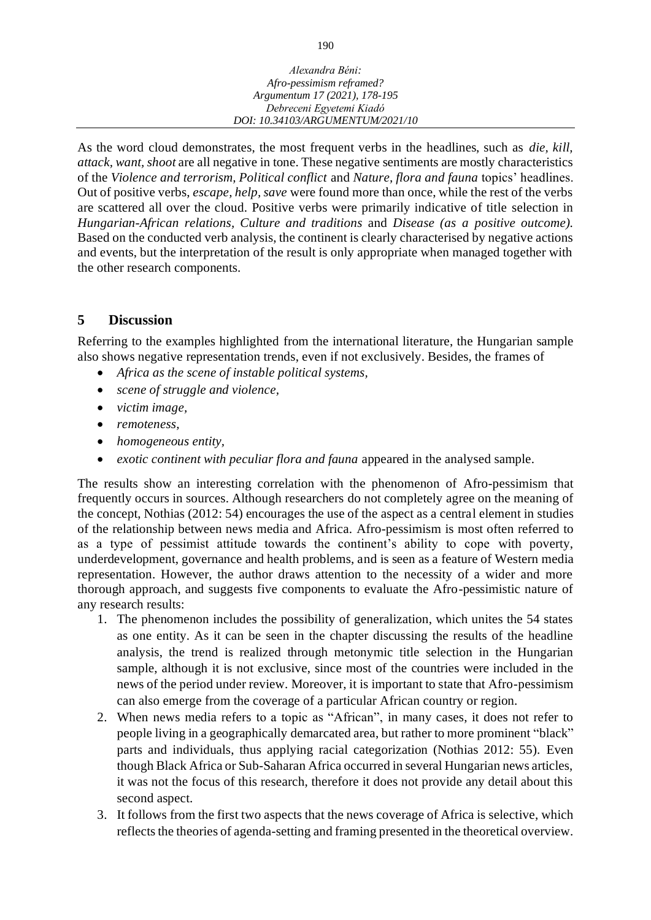| Alexandra Béni:                  |  |
|----------------------------------|--|
| Afro-pessimism reframed?         |  |
| Argumentum 17 (2021), 178-195    |  |
| Debreceni Egyetemi Kiadó         |  |
| DOI: 10.34103/ARGUMENTUM/2021/10 |  |

As the word cloud demonstrates, the most frequent verbs in the headlines, such as *die, kill, attack, want, shoot* are all negative in tone. These negative sentiments are mostly characteristics of the *Violence and terrorism, Political conflict* and *Nature, flora and fauna* topics' headlines. Out of positive verbs, *escape, help, save* were found more than once, while the rest of the verbs are scattered all over the cloud. Positive verbs were primarily indicative of title selection in *Hungarian-African relations, Culture and traditions* and *Disease (as a positive outcome).* Based on the conducted verb analysis, the continent is clearly characterised by negative actions and events, but the interpretation of the result is only appropriate when managed together with the other research components.

# **5 Discussion**

Referring to the examples highlighted from the international literature, the Hungarian sample also shows negative representation trends, even if not exclusively. Besides, the frames of

- *Africa as the scene of instable political systems,*
- *scene of struggle and violence,*
- *victim image,*
- *remoteness,*
- *homogeneous entity,*
- *exotic continent with peculiar flora and fauna* appeared in the analysed sample.

The results show an interesting correlation with the phenomenon of Afro-pessimism that frequently occurs in sources. Although researchers do not completely agree on the meaning of the concept, Nothias (2012: 54) encourages the use of the aspect as a central element in studies of the relationship between news media and Africa. Afro-pessimism is most often referred to as a type of pessimist attitude towards the continent's ability to cope with poverty, underdevelopment, governance and health problems, and is seen as a feature of Western media representation. However, the author draws attention to the necessity of a wider and more thorough approach, and suggests five components to evaluate the Afro-pessimistic nature of any research results:

- 1. The phenomenon includes the possibility of generalization, which unites the 54 states as one entity. As it can be seen in the chapter discussing the results of the headline analysis, the trend is realized through metonymic title selection in the Hungarian sample, although it is not exclusive, since most of the countries were included in the news of the period under review. Moreover, it is important to state that Afro-pessimism can also emerge from the coverage of a particular African country or region.
- 2. When news media refers to a topic as "African", in many cases, it does not refer to people living in a geographically demarcated area, but rather to more prominent "black" parts and individuals, thus applying racial categorization (Nothias 2012: 55). Even though Black Africa or Sub-Saharan Africa occurred in several Hungarian news articles, it was not the focus of this research, therefore it does not provide any detail about this second aspect.
- 3. It follows from the first two aspects that the news coverage of Africa is selective, which reflects the theories of agenda-setting and framing presented in the theoretical overview.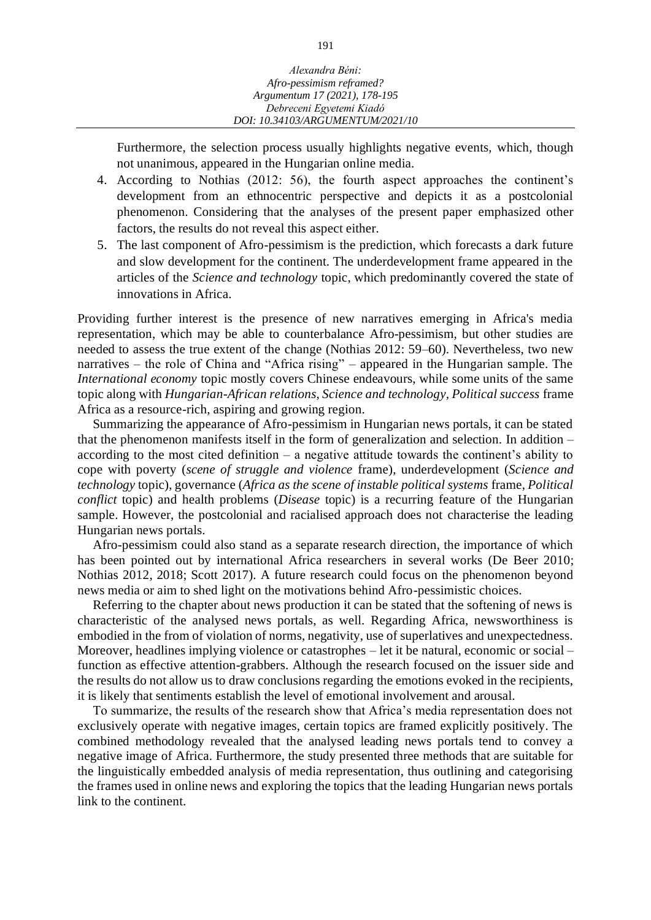Furthermore, the selection process usually highlights negative events, which, though not unanimous, appeared in the Hungarian online media.

- 4. According to Nothias (2012: 56), the fourth aspect approaches the continent's development from an ethnocentric perspective and depicts it as a postcolonial phenomenon. Considering that the analyses of the present paper emphasized other factors, the results do not reveal this aspect either.
- 5. The last component of Afro-pessimism is the prediction, which forecasts a dark future and slow development for the continent. The underdevelopment frame appeared in the articles of the *Science and technology* topic, which predominantly covered the state of innovations in Africa.

Providing further interest is the presence of new narratives emerging in Africa's media representation, which may be able to counterbalance Afro-pessimism, but other studies are needed to assess the true extent of the change (Nothias 2012: 59–60). Nevertheless, two new narratives – the role of China and "Africa rising" – appeared in the Hungarian sample. The *International economy* topic mostly covers Chinese endeavours, while some units of the same topic along with *Hungarian-African relations, Science and technology, Political success* frame Africa as a resource-rich, aspiring and growing region.

Summarizing the appearance of Afro-pessimism in Hungarian news portals, it can be stated that the phenomenon manifests itself in the form of generalization and selection. In addition – according to the most cited definition – a negative attitude towards the continent's ability to cope with poverty (*scene of struggle and violence* frame), underdevelopment (*Science and technology* topic), governance (*Africa as the scene of instable political systems* frame, *Political conflict* topic) and health problems (*Disease* topic) is a recurring feature of the Hungarian sample. However, the postcolonial and racialised approach does not characterise the leading Hungarian news portals.

Afro-pessimism could also stand as a separate research direction, the importance of which has been pointed out by international Africa researchers in several works (De Beer 2010; Nothias 2012, 2018; Scott 2017). A future research could focus on the phenomenon beyond news media or aim to shed light on the motivations behind Afro-pessimistic choices.

Referring to the chapter about news production it can be stated that the softening of news is characteristic of the analysed news portals, as well. Regarding Africa, newsworthiness is embodied in the from of violation of norms, negativity, use of superlatives and unexpectedness. Moreover, headlines implying violence or catastrophes – let it be natural, economic or social – function as effective attention-grabbers. Although the research focused on the issuer side and the results do not allow us to draw conclusions regarding the emotions evoked in the recipients, it is likely that sentiments establish the level of emotional involvement and arousal.

To summarize, the results of the research show that Africa's media representation does not exclusively operate with negative images, certain topics are framed explicitly positively. The combined methodology revealed that the analysed leading news portals tend to convey a negative image of Africa. Furthermore, the study presented three methods that are suitable for the linguistically embedded analysis of media representation, thus outlining and categorising the frames used in online news and exploring the topics that the leading Hungarian news portals link to the continent.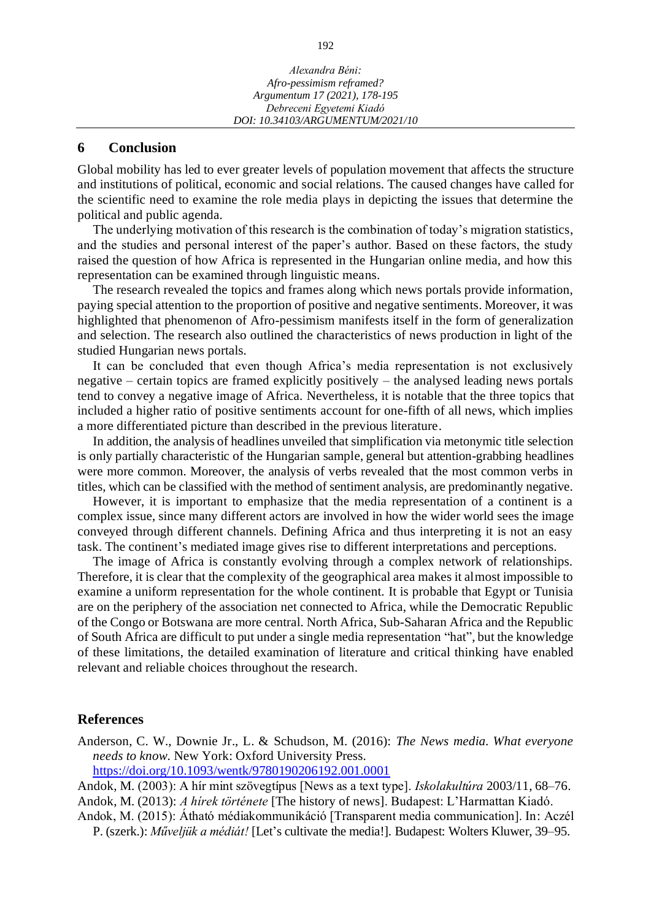#### **6 Conclusion**

Global mobility has led to ever greater levels of population movement that affects the structure and institutions of political, economic and social relations. The caused changes have called for the scientific need to examine the role media plays in depicting the issues that determine the political and public agenda.

The underlying motivation of this research is the combination of today's migration statistics, and the studies and personal interest of the paper's author. Based on these factors, the study raised the question of how Africa is represented in the Hungarian online media, and how this representation can be examined through linguistic means.

The research revealed the topics and frames along which news portals provide information, paying special attention to the proportion of positive and negative sentiments. Moreover, it was highlighted that phenomenon of Afro-pessimism manifests itself in the form of generalization and selection. The research also outlined the characteristics of news production in light of the studied Hungarian news portals.

It can be concluded that even though Africa's media representation is not exclusively negative – certain topics are framed explicitly positively – the analysed leading news portals tend to convey a negative image of Africa. Nevertheless, it is notable that the three topics that included a higher ratio of positive sentiments account for one-fifth of all news, which implies a more differentiated picture than described in the previous literature.

In addition, the analysis of headlines unveiled that simplification via metonymic title selection is only partially characteristic of the Hungarian sample, general but attention-grabbing headlines were more common. Moreover, the analysis of verbs revealed that the most common verbs in titles, which can be classified with the method of sentiment analysis, are predominantly negative.

However, it is important to emphasize that the media representation of a continent is a complex issue, since many different actors are involved in how the wider world sees the image conveyed through different channels. Defining Africa and thus interpreting it is not an easy task. The continent's mediated image gives rise to different interpretations and perceptions.

The image of Africa is constantly evolving through a complex network of relationships. Therefore, it is clear that the complexity of the geographical area makes it almost impossible to examine a uniform representation for the whole continent. It is probable that Egypt or Tunisia are on the periphery of the association net connected to Africa, while the Democratic Republic of the Congo or Botswana are more central. North Africa, Sub-Saharan Africa and the Republic of South Africa are difficult to put under a single media representation "hat", but the knowledge of these limitations, the detailed examination of literature and critical thinking have enabled relevant and reliable choices throughout the research.

### **References**

- Anderson, C. W., Downie Jr., L. & Schudson, M. (2016): *The News media. What everyone needs to know.* New York: Oxford University Press. <https://doi.org/10.1093/wentk/9780190206192.001.0001>
- Andok, M. (2003): A hír mint szövegtípus [News as a text type]. *Iskolakultúra* 2003/11, 68–76.
- Andok, M. (2013): *A hírek története* [The history of news]. Budapest: L'Harmattan Kiadó.
- Andok, M. (2015): Átható médiakommunikáció [Transparent media communication]. In: Aczél P. (szerk.): *Műveljük a médiát!* [Let's cultivate the media!]*.* Budapest: Wolters Kluwer, 39–95.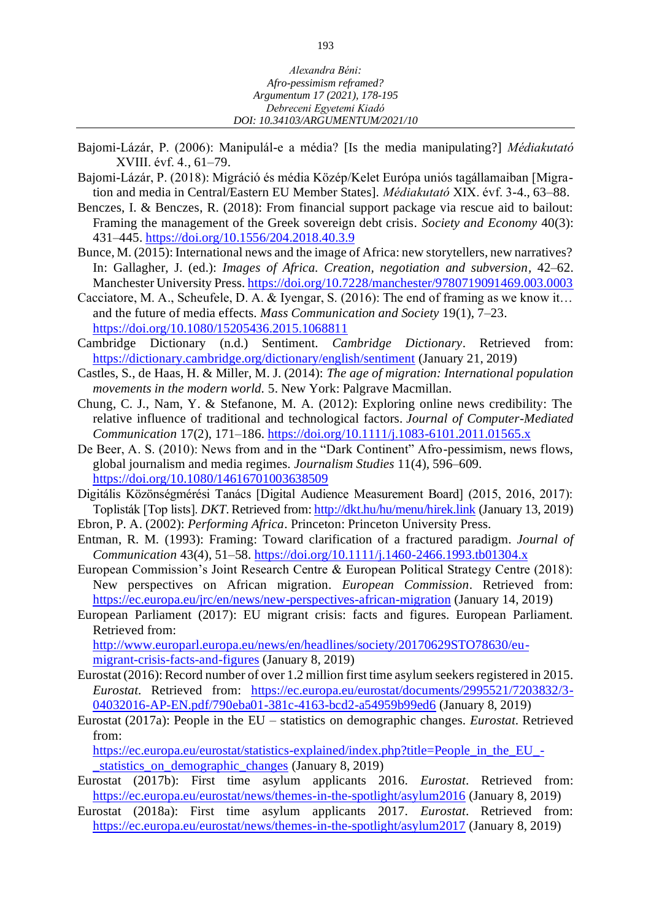- Bajomi-Lázár, P. (2006): Manipulál-e a média? [Is the media manipulating?] *Médiakutató*  XVIII. évf. 4., 61–79.
- Bajomi-Lázár, P. (2018): Migráció és média Közép/Kelet Európa uniós tagállamaiban [Migration and media in Central/Eastern EU Member States]. *Médiakutató* XIX. évf. 3-4., 63–88.
- Benczes, I. & Benczes, R. (2018): From financial support package via rescue aid to bailout: Framing the management of the Greek sovereign debt crisis. *Society and Economy* 40(3): 431–445.<https://doi.org/10.1556/204.2018.40.3.9>
- Bunce, M. (2015): International news and the image of Africa: new storytellers, new narratives? In: Gallagher, J. (ed.): *Images of Africa. Creation, negotiation and subversion,* 42–62. Manchester University Press.<https://doi.org/10.7228/manchester/9780719091469.003.0003>
- Cacciatore, M. A., Scheufele, D. A. & Iyengar, S. (2016): The end of framing as we know it… and the future of media effects. *Mass Communication and Society* 19(1), 7–23. <https://doi.org/10.1080/15205436.2015.1068811>
- Cambridge Dictionary (n.d.) Sentiment. *Cambridge Dictionary*. Retrieved from: <https://dictionary.cambridge.org/dictionary/english/sentiment> (January 21, 2019)
- Castles, S., de Haas, H. & Miller, M. J. (2014): *The age of migration: International population movements in the modern world.* 5. New York: Palgrave Macmillan.
- Chung, C. J., Nam, Y. & Stefanone, M. A. (2012): Exploring online news credibility: The relative influence of traditional and technological factors. *Journal of Computer-Mediated Communication* 17(2), 171–186.<https://doi.org/10.1111/j.1083-6101.2011.01565.x>
- De Beer, A. S. (2010): News from and in the "Dark Continent" Afro-pessimism, news flows, global journalism and media regimes. *Journalism Studies* 11(4), 596–609. <https://doi.org/10.1080/14616701003638509>
- Digitális Közönségmérési Tanács [Digital Audience Measurement Board] (2015, 2016, 2017): Toplisták [Top lists]. *DKT*. Retrieved from:<http://dkt.hu/hu/menu/hirek.link> (January 13, 2019)
- Ebron, P. A. (2002): *Performing Africa*. Princeton: Princeton University Press.
- Entman, R. M. (1993): Framing: Toward clarification of a fractured paradigm. *Journal of Communication* 43(4), 51–58.<https://doi.org/10.1111/j.1460-2466.1993.tb01304.x>
- European Commission's Joint Research Centre & European Political Strategy Centre (2018): New perspectives on African migration. *European Commission*. Retrieved from: <https://ec.europa.eu/jrc/en/news/new-perspectives-african-migration> (January 14, 2019)
- European Parliament (2017): EU migrant crisis: facts and figures. European Parliament. Retrieved from: [http://www.europarl.europa.eu/news/en/headlines/society/20170629STO78630/eu-](http://www.europarl.europa.eu/news/en/headlines/society/20170629STO78630/eu-migrant-crisis-facts-and-figures)

[migrant-crisis-facts-and-figures](http://www.europarl.europa.eu/news/en/headlines/society/20170629STO78630/eu-migrant-crisis-facts-and-figures) (January 8, 2019)

- Eurostat (2016): Record number of over 1.2 million first time asylum seekers registered in 2015. *Eurostat*. Retrieved from: [https://ec.europa.eu/eurostat/documents/2995521/7203832/3-](https://ec.europa.eu/eurostat/documents/2995521/7203832/3-04032016-AP-EN.pdf/790eba01-381c-4163-bcd2-a54959b99ed6) [04032016-AP-EN.pdf/790eba01-381c-4163-bcd2-a54959b99ed6](https://ec.europa.eu/eurostat/documents/2995521/7203832/3-04032016-AP-EN.pdf/790eba01-381c-4163-bcd2-a54959b99ed6) (January 8, 2019)
- Eurostat (2017a): People in the EU statistics on demographic changes. *Eurostat*. Retrieved from:

[https://ec.europa.eu/eurostat/statistics-explained/index.php?title=People\\_in\\_the\\_EU\\_](https://ec.europa.eu/eurostat/statistics-explained/index.php?title=People_in_the_EU_-_statistics_on_demographic_changes) statistics on demographic changes (January 8, 2019)

- Eurostat (2017b): First time asylum applicants 2016. *Eurostat*. Retrieved from: <https://ec.europa.eu/eurostat/news/themes-in-the-spotlight/asylum2016> (January 8, 2019)
- Eurostat (2018a): First time asylum applicants 2017. *Eurostat*. Retrieved from: <https://ec.europa.eu/eurostat/news/themes-in-the-spotlight/asylum2017> (January 8, 2019)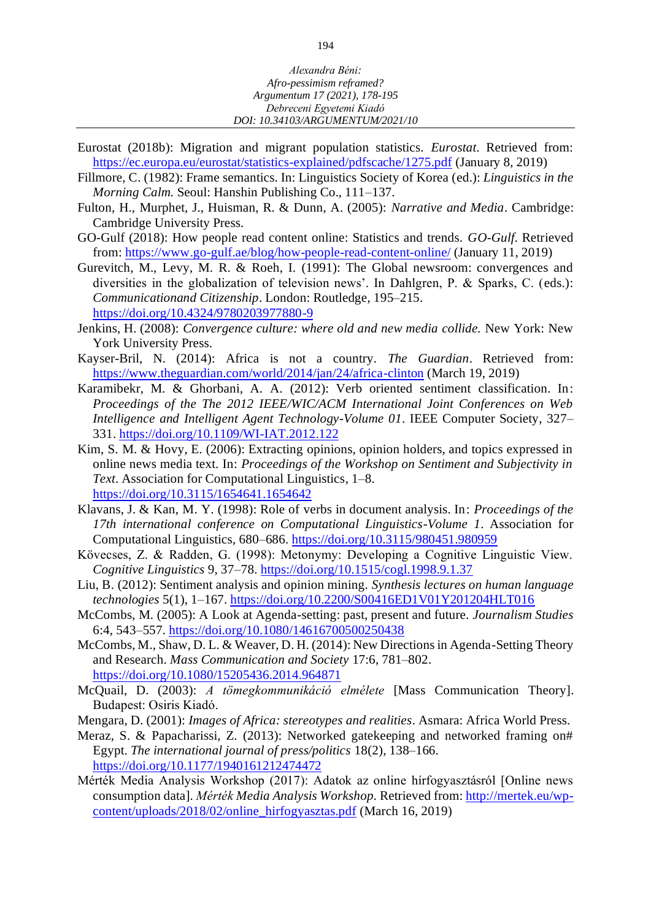- Eurostat (2018b): Migration and migrant population statistics. *Eurostat*. Retrieved from: <https://ec.europa.eu/eurostat/statistics-explained/pdfscache/1275.pdf> (January 8, 2019)
- Fillmore, C. (1982): Frame semantics. In: Linguistics Society of Korea (ed.): *Linguistics in the Morning Calm.* Seoul: Hanshin Publishing Co., 111–137.
- Fulton, H., Murphet, J., Huisman, R. & Dunn, A. (2005): *Narrative and Media*. Cambridge: Cambridge University Press.
- GO-Gulf (2018): How people read content online: Statistics and trends. *GO-Gulf*. Retrieved from:<https://www.go-gulf.ae/blog/how-people-read-content-online/> (January 11, 2019)
- Gurevitch, M., Levy, M. R. & Roeh, I. (1991): The Global newsroom: convergences and diversities in the globalization of television news'. In Dahlgren, P. & Sparks, C. (eds.): *Communicationand Citizenship*. London: Routledge, 195–215. <https://doi.org/10.4324/9780203977880-9>
- Jenkins, H. (2008): *Convergence culture: where old and new media collide.* New York: New York University Press.
- Kayser-Bril, N. (2014): Africa is not a country. *The Guardian*. Retrieved from: <https://www.theguardian.com/world/2014/jan/24/africa-clinton> (March 19, 2019)
- Karamibekr, M. & Ghorbani, A. A. (2012): Verb oriented sentiment classification. In: *Proceedings of the The 2012 IEEE/WIC/ACM International Joint Conferences on Web Intelligence and Intelligent Agent Technology-Volume 01*. IEEE Computer Society, 327– 331. <https://doi.org/10.1109/WI-IAT.2012.122>
- Kim, S. M. & Hovy, E. (2006): Extracting opinions, opinion holders, and topics expressed in online news media text. In: *Proceedings of the Workshop on Sentiment and Subjectivity in Text*. Association for Computational Linguistics, 1–8. <https://doi.org/10.3115/1654641.1654642>
- Klavans, J. & Kan, M. Y. (1998): Role of verbs in document analysis. In: *Proceedings of the 17th international conference on Computational Linguistics-Volume 1*. Association for Computational Linguistics, 680–686. <https://doi.org/10.3115/980451.980959>
- Kövecses, Z. & Radden, G. (1998): Metonymy: Developing a Cognitive Linguistic View. *Cognitive Linguistics* 9, 37–78.<https://doi.org/10.1515/cogl.1998.9.1.37>
- Liu, B. (2012): Sentiment analysis and opinion mining. *Synthesis lectures on human language technologies* 5(1), 1–167.<https://doi.org/10.2200/S00416ED1V01Y201204HLT016>
- McCombs, M. (2005): A Look at Agenda-setting: past, present and future. *Journalism Studies*  6:4, 543–557.<https://doi.org/10.1080/14616700500250438>
- McCombs, M., Shaw, D. L. & Weaver, D. H. (2014): New Directions in Agenda-Setting Theory and Research. *Mass Communication and Society* 17:6, 781–802. <https://doi.org/10.1080/15205436.2014.964871>
- McQuail, D. (2003): *A tömegkommunikáció elmélete* [Mass Communication Theory]. Budapest: Osiris Kiadó.
- Mengara, D. (2001): *Images of Africa: stereotypes and realities*. Asmara: Africa World Press.
- Meraz, S. & Papacharissi, Z. (2013): Networked gatekeeping and networked framing on# Egypt. *The international journal of press/politics* 18(2), 138–166. <https://doi.org/10.1177/1940161212474472>
- Mérték Media Analysis Workshop (2017): Adatok az online hírfogyasztásról [Online news consumption data]. *Mérték Media Analysis Workshop.* Retrieved from: [http://mertek.eu/wp](http://mertek.eu/wp-content/uploads/2018/02/online_hirfogyasztas.pdf)[content/uploads/2018/02/online\\_hirfogyasztas.pdf](http://mertek.eu/wp-content/uploads/2018/02/online_hirfogyasztas.pdf) (March 16, 2019)